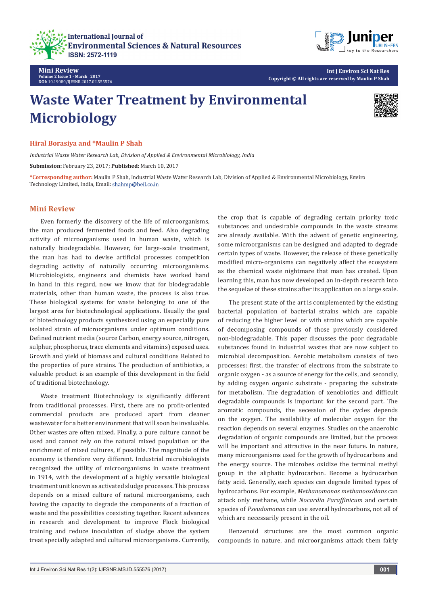



**Mini Review Volume 2 Issue 1 - March 2017 DOI:** [10.19080/IJESNR.2017.02.555576](http://dx.doi.org/10.19080/IJESNR.2017.02.555576
)

**Int J Environ Sci Nat Res Copyright © All rights are reserved by Maulin P Shah**

## **Waste Water Treatment by Environmental Microbiology**



**Hiral Borasiya and \*Maulin P Shah** 

*Industrial Waste Water Research Lab, Division of Applied & Environmental Microbiology, India*

**Submission:** February 23, 2017; **Published:** March 10, 2017

**\*Corresponding author:** Maulin P Shah, Industrial Waste Water Research Lab, Division of Applied & Environmental Microbiology, Enviro Technology Limited, India, Email:

## **Mini Review**

Even formerly the discovery of the life of microorganisms, the man produced fermented foods and feed. Also degrading activity of microorganisms used in human waste, which is naturally biodegradable. However, for large-scale treatment, the man has had to devise artificial processes competition degrading activity of naturally occurring microorganisms. Microbiologists, engineers and chemists have worked hand in hand in this regard, now we know that for biodegradable materials, other than human waste, the process is also true. These biological systems for waste belonging to one of the largest area for biotechnological applications. Usually the goal of biotechnology products synthesized using an especially pure isolated strain of microorganisms under optimum conditions. Defined nutrient media (source Carbon, energy source, nitrogen, sulphur, phosphorus, trace elements and vitamins) exposed uses. Growth and yield of biomass and cultural conditions Related to the properties of pure strains. The production of antibiotics, a valuable product is an example of this development in the field of traditional biotechnology.

Waste treatment Biotechnology is significantly different from traditional processes. First, there are no profit-oriented commercial products are produced apart from cleaner wastewater for a better environment that will soon be invaluable. Other wastes are often mixed. Finally, a pure culture cannot be used and cannot rely on the natural mixed population or the enrichment of mixed cultures, if possible. The magnitude of the economy is therefore very different. Industrial microbiologists recognized the utility of microorganisms in waste treatment in 1914, with the development of a highly versatile biological treatment unit known as activated sludge processes. This process depends on a mixed culture of natural microorganisms, each having the capacity to degrade the components of a fraction of waste and the possibilities coexisting together. Recent advances in research and development to improve Flock biological training and reduce inoculation of sludge above the system treat specially adapted and cultured microorganisms. Currently, the crop that is capable of degrading certain priority toxic substances and undesirable compounds in the waste streams are already available. With the advent of genetic engineering, some microorganisms can be designed and adapted to degrade certain types of waste. However, the release of these genetically modified micro-organisms can negatively affect the ecosystem as the chemical waste nightmare that man has created. Upon learning this, man has now developed an in-depth research into the sequelae of these strains after its application on a large scale.

The present state of the art is complemented by the existing bacterial population of bacterial strains which are capable of reducing the higher level or with strains which are capable of decomposing compounds of those previously considered non-biodegradable. This paper discusses the poor degradable substances found in industrial wastes that are now subject to microbial decomposition. Aerobic metabolism consists of two processes: first, the transfer of electrons from the substrate to organic oxygen - as a source of energy for the cells, and secondly, by adding oxygen organic substrate - preparing the substrate for metabolism. The degradation of xenobiotics and difficult degradable compounds is important for the second part. The aromatic compounds, the secession of the cycles depends on the oxygen. The availability of molecular oxygen for the reaction depends on several enzymes. Studies on the anaerobic degradation of organic compounds are limited, but the process will be important and attractive in the near future. In nature, many microorganisms used for the growth of hydrocarbons and the energy source. The microbes oxidize the terminal methyl group in the aliphatic hydrocarbon. Become a hydrocarbon fatty acid. Generally, each species can degrade limited types of hydrocarbons. For example, *Methanomonas methanooxidans* can attack only methane, while *Nocardia Paraffinicum* and certain species of *Pseudomonas* can use several hydrocarbons, not all of which are necessarily present in the oil.

Benzenoid structures are the most common organic compounds in nature, and microorganisms attack them fairly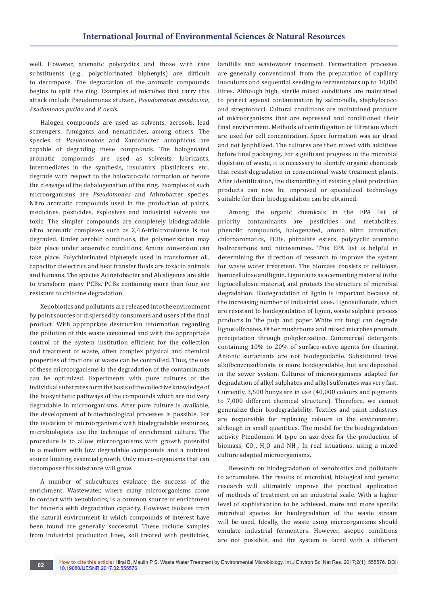well. However, aromatic polycyclics and those with rare substituents (e.g., polychlorinated biphenyls) are difficult to decompose. The degradation of the aromatic compounds begins to split the ring. Examples of microbes that carry this attack include Pseudomonas stutzeri, *Pseudomonas mendocina*, *Psudomonas putida* and *P. ovals.*

Halogen compounds are used as solvents, aerosols, lead scavengers, fumigants and nematicides, among others. The species of *Pseudomonas* and Xantobacter autophicus are capable of degrading these compounds. The halogenated aromatic compounds are used as solvents, lubricants, intermediates in the synthesis, insulators, plasticizers, etc., degrade with respect to the halocatocalic formation or before the cleavage of the dehalogenation of the ring. Examples of such microorganisms are *Pseudomonas* and Athrobacter species. Nitro aromatic compounds used in the production of paints, medicines, pesticides, explosives and industrial solvents are toxic. The simpler compounds are completely biodegradable nitro aromatic complexes such as 2,4,6-trinitrotoluene is not degraded. Under aerobic conditions, the polymerization may take place under anaerobic conditions; Amine conversion can take place. Polychlorinated biphenyls used in transformer oil, capacitor dielectrics and heat transfer fluids are toxic to animals and humans. The species Acinetobacter and Alcaligenes are able to transform many PCBs. PCBs containing more than four are resistant to chlorine degradation.

Xenobiotics and pollutants are released into the environment by point sources or dispersed by consumers and users of the final product. With appropriate destruction information regarding the pollution of this waste consumed and with the appropriate control of the system institution efficient for the collection and treatment of waste, often complex physical and chemical properties of fractions of waste can be controlled. Thus, the use of these microorganisms in the degradation of the contaminants can be optimized. Experiments with pure cultures of the individual substrates form the basis of the collective knowledge of the biosynthetic pathways of the compounds which are not very degradable in microorganisms. After pure culture is available, the development of biotechnological processes is possible. For the isolation of microorganisms with biodegradable resources, microbiologists use the technique of enrichment culture. The procedure is to allow microorganisms with growth potential in a medium with low degradable compounds and a nutrient source limiting essential growth. Only micro-organisms that can decompose this substance will grow.

A number of subcultures evaluate the success of the enrichment. Wastewater, where many microorganisms come in contact with xenobiotics, is a common source of enrichment for bacteria with degradation capacity. However, isolates from the natural environment in which compounds of interest have been found are generally successful. These include samples from industrial production lines, soil treated with pesticides,

landfills and wastewater treatment. Fermentation processes are generally conventional, from the preparation of capillary inoculums and sequential seeding to fermentators up to 10,000 litres. Although high, sterile mixed conditions are maintained to protect against contamination by salmonella, staphylococci and streptococci. Cultural conditions are maintained products of microorganisms that are repressed and conditioned their final environment. Methods of centrifugation or filtration which are used for cell concentration. Spore formation was air dried and not lyophilized. The cultures are then mixed with additives before final packaging. For significant progress in the microbial digestion of waste, it is necessary to identify organic chemicals that resist degradation in conventional waste treatment plants. After identification, the dismantling of existing plant protection products can now be improved or specialized technology suitable for their biodegradation can be obtained.

Among the organic chemicals in the EPA list of priority contaminants are pesticides and metabolites, phenolic compounds, halogenated, aroma nitro aromatics, chloroaromatics, PCBs, phthalate esters, polycyclic aromatic hydrocarbons and nitrosamines. This EPA list is helpful in determining the direction of research to improve the system for waste water treatment. The biomass consists of cellulose, hemicellulose and lignin. Lignin acts as a cementing material in the lignocellulosic material, and protects the structure of microbial degradation. Biodegradation of lignin is important because of the increasing number of industrial uses. Lignosulfonate, which are resistant to biodegradation of lignin, waste sulphite process products in 'the pulp and paper. White rot fungi can degrade lignosulfonates. Other mushrooms and mixed microbes promote precipitation through poliplerization. Commercial detergents containing 10% to 20% of surface-active agents for cleaning. Anionic surfactants are not biodegradable. Substituted level alkilbcnzcnsulfonata is more biodegradable, but are deposited in the sewer system. Cultures of microorganisms adapted for degradation of alkyl sulphates and alkyl sulfonates was very fast. Currently, 3,500 buoys are in use (40,000 colours and pigments to 7,000 different chemical structure). Therefore, we cannot generalize their biodegradability. Textiles and paint industries are responsible for replacing colours in the environment, although in small quantities. The model for the biodegradation activity Pteudomon M type on azo dyes for the production of biomass,  $CO_{2'}$ ,  $H_2O$  and  $NH_{3'}$ . In real situations, using a mixed culture adapted microorganisms.

Research on biodegradation of xenobiotics and pollutants to accumulate. The results of microbial, biological and genetic research will ultimately improve the practical application of methods of treatment on an industrial scale. With a higher level of sophistication to be achieved, more and more specific microbial species for biodegradation of the waste stream will be used. Ideally, the waste using microorganisms should emulate industrial fermenters. However, aseptic conditions are not possible, and the system is faced with a different